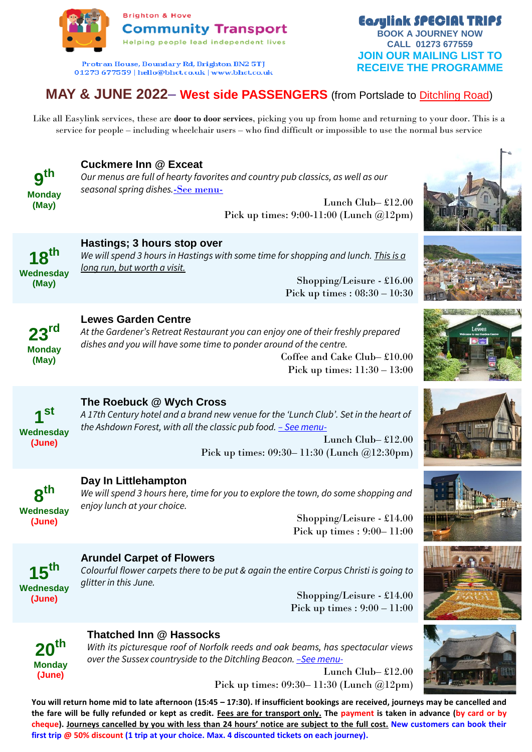

Protran House, Boundary Rd, Brighton BN2 5TJ 01273 677559 | hello@bhct.co.uk | www.bhct.co.uk

# **MAY & JUNE 2022– West side PASSENGERS** (from Portslade to Ditchling Road)

Like all Easylink services, these are **door to door services**, picking you up from home and returning to your door. This is a service for people – including wheelchair users – who find difficult or impossible to use the normal bus service



# **Cuckmere Inn @ Exceat**

**Hastings; 3 hours stop over**

*Our menus are full of hearty favorites and country pub classics, as well as our seasonal spring dishes.*[-See menu-](https://www.vintageinn.co.uk/restaurants/south-east/thecuckmereinnseaford/mainmenu)

> Lunch Club– £12.00 Pick up times: 9:00-11:00 (Lunch @12pm)



*We will spend 3 hours in Hastings with some time for shopping and lunch. This is a long run, but worth a visit.* 

Shopping/Leisure - £16.00 Pick up times : 08:30 – 10:30

**23rd Monday (May)**

#### **Lewes Garden Centre**

*At the Gardener's Retreat Restaurant you can enjoy one of their freshly prepared dishes and you will have some time to ponder around of the centre.* 

Coffee and Cake Club– £10.00 Pick up times: 11:30 – 13:00



## **The Roebuck @ Wych Cross**

*A 17th Century hotel and a brand new venue for the 'Lunch Club'. Set in the heart of the Ashdown Forest, with all the classic pub food. – [See menu-](https://www.greeneking-pubs.co.uk/pubs/east-sussex/roebuck/menu/main-menu)*

> Lunch Club– £12.00 Pick up times: 09:30– 11:30 (Lunch @12:30pm)



#### **Day In Littlehampton**

*We will spend 3 hours here, time for you to explore the town, do some shopping and enjoy lunch at your choice.* 

> Shopping/Leisure - £14.00 Pick up times : 9:00– 11:00



#### **Arundel Carpet of Flowers**

*Colourful flower carpets there to be put & again the entire Corpus Christi is going to glitter in this June.*

> Shopping/Leisure - £14.00 Pick up times : 9:00 – 11:00



## **Thatched Inn @ Hassocks**

*With its picturesque roof of Norfolk reeds and oak beams, has spectacular views over the Sussex countryside to the Ditchling Beacon. –[See menu-](http://www.thatchedinn.co.uk/images/pdfs/thatched_inn_menu.pdf)*

> Lunch Club– £12.00 Pick up times: 09:30– 11:30 (Lunch @12pm)

**You will return home mid to late afternoon (15:45 – 17:30). If insufficient bookings are received, journeys may be cancelled and the fare will be fully refunded or kept as credit. Fees are for transport only. The payment is taken in advance (by card or by cheque). Journeys cancelled by you with less than 24 hours' notice are subject to the full cost. New customers can book their first trip @ 50% discount (1 trip at your choice. Max. 4 discounted tickets on each journey).**